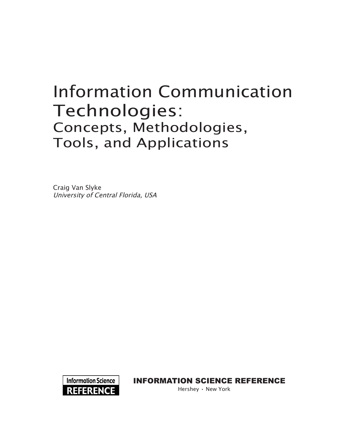# Information Communication Technologies: Concepts, Methodologies, Tools, and Applications

Craig Van Slyke University of Central Florida, USA



Information Science reference

Hershey • New York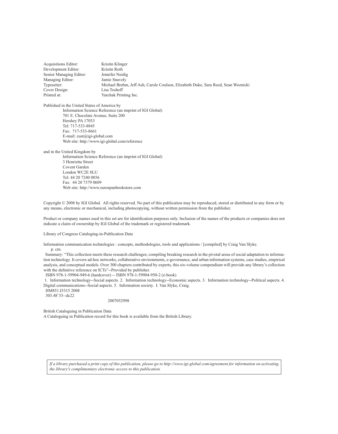Acquisitions Editor: Kristin Klinger Development Editor: Kristin Roth<br>Senior Managing Editor: Jennifer Neidig Senior Managing Editor: Managing Editor: Jamie Snavely Typesetter: Michael Brehm, Jeff Ash, Carole Coulson, Elizabeth Duke, Sara Reed, Sean Woznicki Cover Design: Printed at: Yurchak Printing Inc.

Published in the United States of America by Information Science Reference (an imprint of IGI Global) 701 E. Chocolate Avenue, Suite 200 Hershey PA 17033 Tel: 717-533-8845 Fax: 717-533-8661 E-mail: cust@igi-global.com Web site: http://www.igi-global.com/reference

and in the United Kingdom by

Information Science Reference (an imprint of IGI Global) 3 Henrietta Street Covent Garden London WC2E 8LU Tel: 44 20 7240 0856 Fax: 44 20 7379 0609 Web site: http://www.eurospanbookstore.com

Copyright © 2008 by IGI Global. All rights reserved. No part of this publication may be reproduced, stored or distributed in any form or by any means, electronic or mechanical, including photocopying, without written permission from the publisher.

Product or company names used in this set are for identification purposes only. Inclusion of the names of the products or companies does not indicate a claim of ownership by IGI Global of the trademark or registered trademark.

Library of Congress Cataloging-in-Publication Data

Information communication technologies : concepts, methodologies, tools and applications / [compiled] by Craig Van Slyke.

p. cm.

 Summary: "This collection meets these research challenges; compiling breaking research in the pivotal areas of social adaptation to information technology. It covers ad-hoc networks, collaborative environments, e-governance, and urban information systems, case studies, empirical analysis, and conceptual models. Over 300 chapters contributed by experts, this six-volume compendium will provide any library's collection with the definitive reference on ICTs"--Provided by publisher.

ISBN 978-1-59904-949-6 (hardcover) -- ISBN 978-1-59904-950-2 (e-book)

 1. Information technology--Social aspects. 2. Information technology--Economic aspects. 3. Information technology--Political aspects. 4. Digital communications--Social aspects. 5. Information society. I. Van Slyke, Craig.

 HM851.I5315 2008 303.48'33--dc22

2007052998

British Cataloguing in Publication Data

A Cataloguing in Publication record for this book is available from the British Library.

*If a library purchased a print copy of this publication, please go to http://www.igi-global.com/agreement for information on activating the library's complimentary electronic access to this publication.*